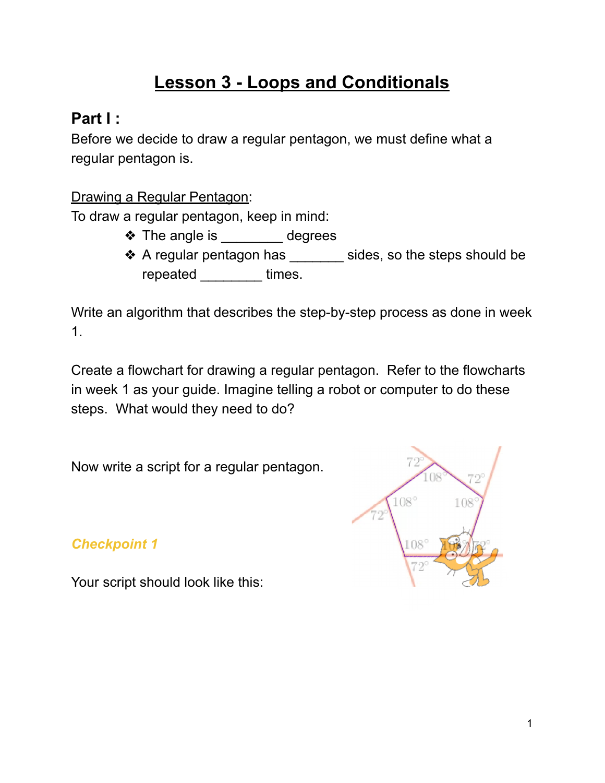# **Lesson 3 - Loops and Conditionals**

# **Part I :**

Before we decide to draw a regular pentagon, we must define what a regular pentagon is.

Drawing a Regular Pentagon:

To draw a regular pentagon, keep in mind:

- ◆ The angle is degrees
- ❖ A regular pentagon has \_\_\_\_\_\_\_ sides, so the steps should be repeated **with the times**.

Write an algorithm that describes the step-by-step process as done in week 1.

Create a flowchart for drawing a regular pentagon. Refer to the flowcharts in week 1 as your guide. Imagine telling a robot or computer to do these steps. What would they need to do?

Now write a script for a regular pentagon.

*Checkpoint 1*

 $108^\circ$ 108

Your script should look like this: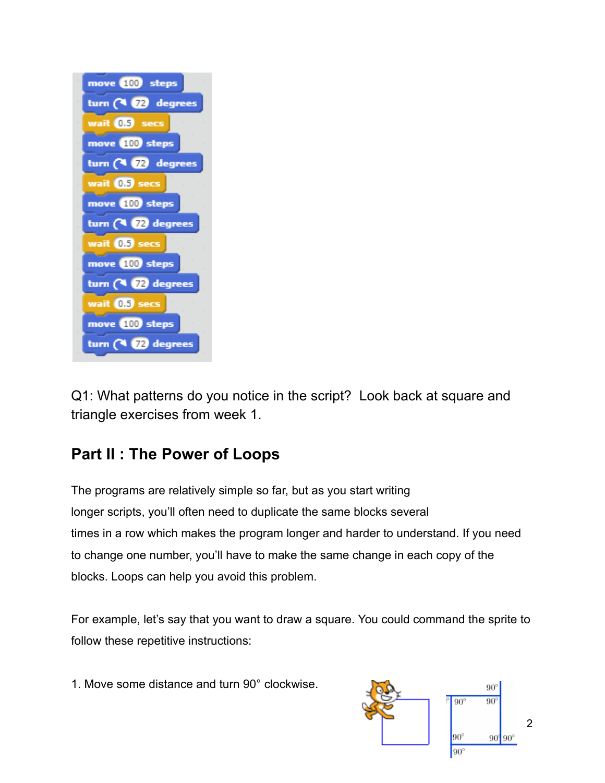

Q1: What patterns do you notice in the script? Look back at square and triangle exercises from week 1.

# **Part II : The Power of Loops**

The programs are relatively simple so far, but as you start writing longer scripts, you'll often need to duplicate the same blocks several times in a row which makes the program longer and harder to understand. If you need to change one number, you'll have to make the same change in each copy of the blocks. Loops can help you avoid this problem.

For example, let's say that you want to draw a square. You could command the sprite to follow these repetitive instructions:

1. Move some distance and turn 90° clockwise.

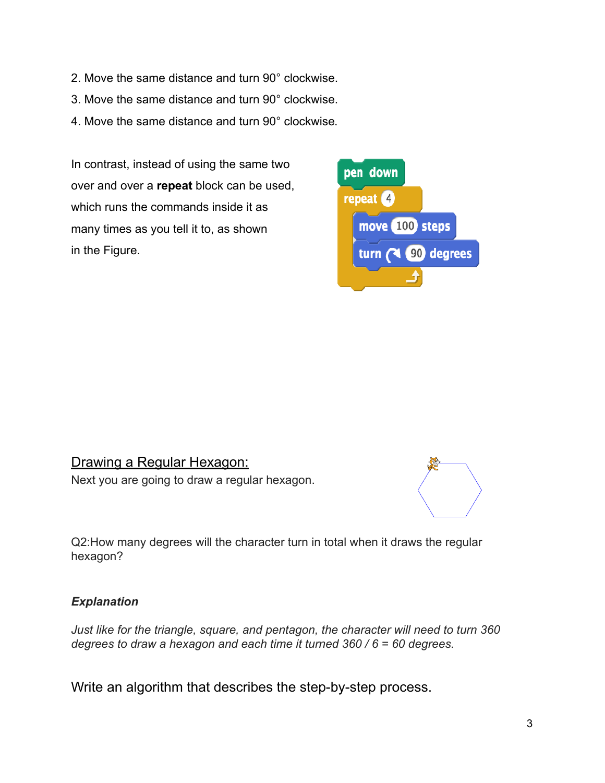- 2. Move the same distance and turn 90° clockwise.
- 3. Move the same distance and turn 90° clockwise.
- 4. Move the same distance and turn 90° clockwise .

In contrast, instead of using the same two over and over a **repeat** block can be used, which runs the commands inside it as many times as you tell it to, as shown in the Figure.



#### Drawing a Regular Hexagon: Next you are going to draw a regular hexagon.



Q2:How many degrees will the character turn in total when it draws the regular hexagon?

#### *Explanation*

*Just like for the triangle, square, and pentagon, the character will need to turn 360 degrees to draw a hexagon and each time it turned 360 / 6 = 60 degrees.*

Write an algorithm that describes the step-by-step process.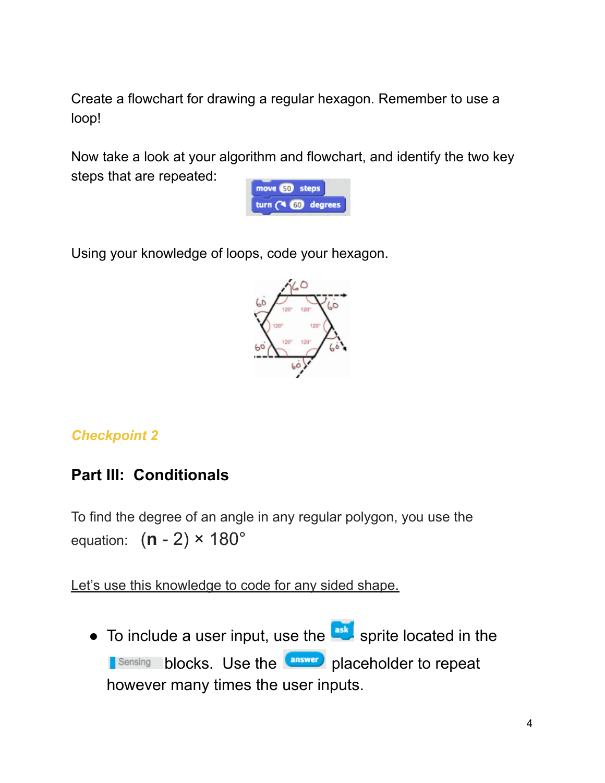Create a flowchart for drawing a regular hexagon. Remember to use a loop!

Now take a look at your algorithm and flowchart, and identify the two key steps that are repeated:



Using your knowledge of loops, code your hexagon.



### *Checkpoint 2*

## **Part III: Conditionals**

To find the degree of an angle in any regular polygon, you use the equation: ( **n** - 2) × 180°

Let's use this knowledge to code for any sided shape.

 $\bullet$  To include a user input, use the  $\frac{a_{sk}}{s}$  sprite located in the **Blaceholder to repeat** however many times the user inputs.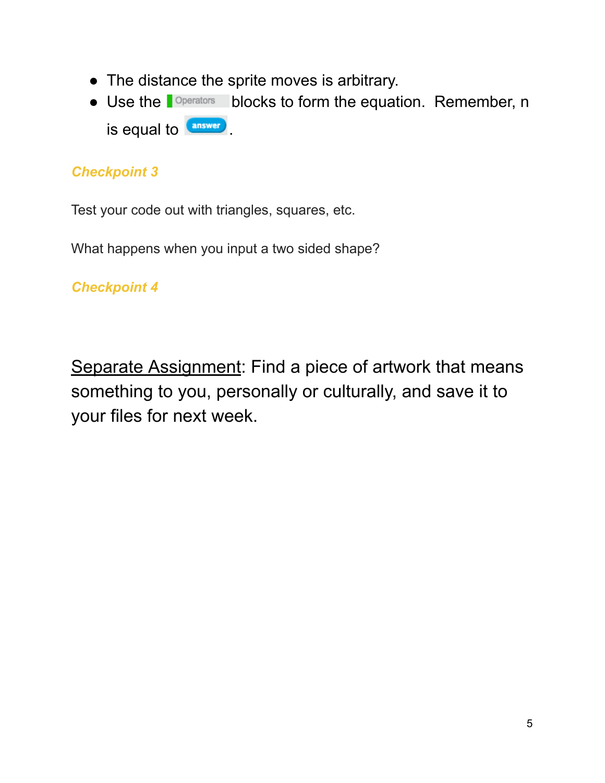- The distance the sprite moves is arbitrary.
- Use the **Diperators** blocks to form the equation. Remember, n is equal to **answer**

### *Checkpoint 3*

Test your code out with triangles, squares, etc.

What happens when you input a two sided shape?

*Checkpoint 4*

Separate Assignment: Find a piece of artwork that means something to you, personally or culturally, and save it to your files for next week.